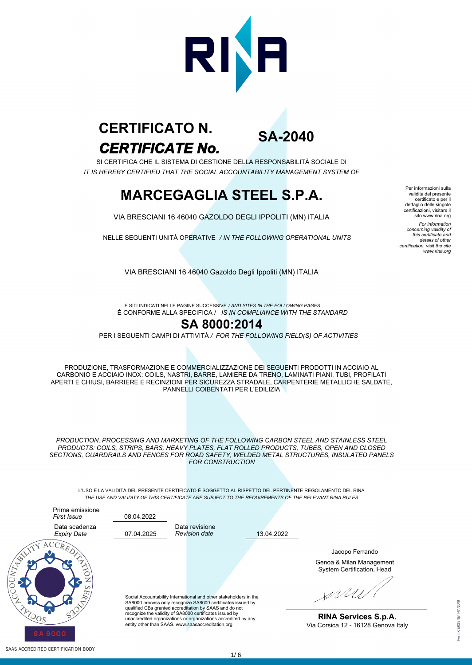

# *CERTIFICATE No.* **CERTIFICATO N.**

**SA-2040**

SI CERTIFICA CHE IL SISTEMA DI GESTIONE DELLA RESPONSABILITÀ SOCIALE DI *IT IS HEREBY CERTIFIED THAT THE SOCIAL ACCOUNTABILITY MANAGEMENT SYSTEM OF*

# **MARCEGAGLIA STEEL S.P.A.**

VIA BRESCIANI 16 46040 GAZOLDO DEGLI IPPOLITI (MN) ITALIA

NELLE SEGUENTI UNITÀ OPERATIVE */ IN THE FOLLOWING OPERATIONAL UNITS*

Per informazioni sulla validità del presente certificato e per il dettaglio delle singole certificazioni, visitare il sito www.rina.org *For information concerning validity of this certificate and details of other certification, visit the site www.rina.org*

VIA BRESCIANI 16 46040 Gazoldo Degli Ippoliti (MN) ITALIA

È CONFORME ALLA SPECIFICA / *IS IN COMPLIANCE WITH THE STANDARD* E SITI INDICATI NELLE PAGINE SUCCESSIVE */ AND SITES IN THE FOLLOWING PAGES*

#### **SA 8000:2014**

PER I SEGUENTI CAMPI DI ATTIVITÀ */ FOR THE FOLLOWING FIELD(S) OF ACTIVITIES*

PRODUZIONE, TRASFORMAZIONE E COMMERCIALIZZAZIONE DEI SEGUENTI PRODOTTI IN ACCIAIO AL CARBONIO E ACCIAIO INOX: COILS, NASTRI, BARRE, LAMIERE DA TRENO, LAMINATI PIANI, TUBI, PROFILATI APERTI E CHIUSI, BARRIERE E RECINZIONI PER SICUREZZA STRADALE, CARPENTERIE METALLICHE SALDATE, PANNELLI COIBENTATI PER L'EDILIZIA

*PRODUCTION, PROCESSING AND MARKETING OF THE FOLLOWING CARBON STEEL AND STAINLESS STEEL PRODUCTS: COILS, STRIPS, BARS, HEAVY PLATES, FLAT ROLLED PRODUCTS, TUBES, OPEN AND CLOSED SECTIONS, GUARDRAILS AND FENCES FOR ROAD SAFETY, WELDED METAL STRUCTURES, INSULATED PANELS FOR CONSTRUCTION*

L'USO E LA VALIDITÀ DEL PRESENTE CERTIFICATO È SOGGETTO AL RISPETTO DEL PERTINENTE REGOLAMENTO DEL RINA *THE USE AND VALIDITY OF THIS CERTIFICATE ARE SUBJECT TO THE REQUIREMENTS OF THE RELEVANT RINA RULES*

13.04.2022



SAAS ACCREDITED CERTIFICATION BODY

Social Accountability International and other stakeholders in the SA8000 process only recognize SA8000 certificates issued by qualified CBs granted accreditation by SAAS and do not recognize the validity of SA8000 certificates issued by unaccredited organizations or organizations accredited by any entity other than SAAS. www.saasaccreditation.org

Data revisione *Revision date*

08.04.2022

Genoa & Milan Management System Certification, Head Jacopo Ferrando

WUW

**RINA Services S.p.A.** Via Corsica 12 - 16128 Genova Italy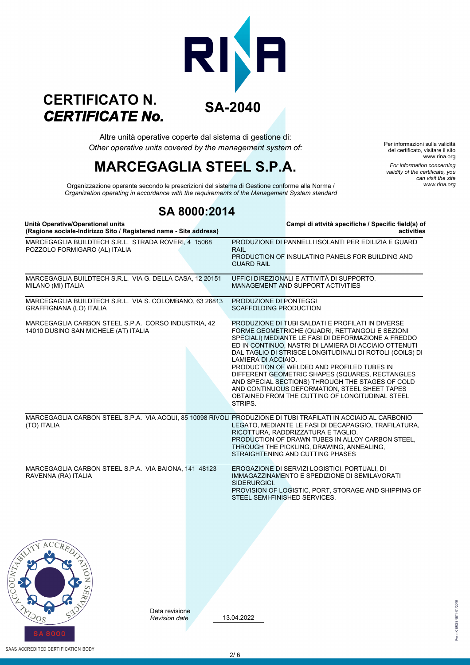### **SA-2040** *CERTIFICATE No.* **CERTIFICATO N.**

*Other operative units covered by the management system of:* Altre unità operative coperte dal sistema di gestione di:

# **MARCEGAGLIA STEEL S.P.A.**

Per informazioni sulla validità del certificato, visitare il sito www.rina.org *For information concerning validity of the certificate, you can visit the site www.rina.org*

1 CERGENETI-01/2018

*Organization operating in accordance with the requirements of the Management System standard* Organizzazione operante secondo le prescrizioni del sistema di Gestione conforme alla Norma /

### **SA 8000:2014**

| Unità Operative/Operational units<br>(Ragione sociale-Indirizzo Sito / Registered name - Site address)                        | Campi di attvità specifiche / Specific field(s) of<br>activities                                                                                                                                                                                                                                                                                                                                                                                                                                                                                                            |
|-------------------------------------------------------------------------------------------------------------------------------|-----------------------------------------------------------------------------------------------------------------------------------------------------------------------------------------------------------------------------------------------------------------------------------------------------------------------------------------------------------------------------------------------------------------------------------------------------------------------------------------------------------------------------------------------------------------------------|
| MARCEGAGLIA BUILDTECH S.R.L. STRADA ROVERI, 4 15068<br>POZZOLO FORMIGARO (AL) ITALIA                                          | PRODUZIONE DI PANNELLI ISOLANTI PER EDILIZIA E GUARD<br><b>RAIL</b><br>PRODUCTION OF INSULATING PANELS FOR BUILDING AND<br><b>GUARD RAIL</b>                                                                                                                                                                                                                                                                                                                                                                                                                                |
| MARCEGAGLIA BUILDTECH S.R.L. VIA G. DELLA CASA, 12 20151<br>MILANO (MI) ITALIA                                                | UFFICI DIREZIONALI E ATTIVITÀ DI SUPPORTO.<br>MANAGEMENT AND SUPPORT ACTIVITIES                                                                                                                                                                                                                                                                                                                                                                                                                                                                                             |
| MARCEGAGLIA BUILDTECH S.R.L. VIA S. COLOMBANO, 63 26813<br><b>GRAFFIGNANA (LO) ITALIA</b>                                     | PRODUZIONE DI PONTEGGI<br><b>SCAFFOLDING PRODUCTION</b>                                                                                                                                                                                                                                                                                                                                                                                                                                                                                                                     |
| MARCEGAGLIA CARBON STEEL S.P.A. CORSO INDUSTRIA, 42<br>14010 DUSINO SAN MICHELE (AT) ITALIA                                   | PRODUZIONE DI TUBI SALDATI E PROFILATI IN DIVERSE<br>FORME GEOMETRICHE (QUADRI, RETTANGOLI E SEZIONI<br>SPECIALI) MEDIANTE LE FASI DI DEFORMAZIONE A FREDDO<br>ED IN CONTINUO, NASTRI DI LAMIERA DI ACCIAIO OTTENUTI<br>DAL TAGLIO DI STRISCE LONGITUDINALI DI ROTOLI (COILS) DI<br>LAMIERA DI ACCIAIO.<br>PRODUCTION OF WELDED AND PROFILED TUBES IN<br>DIFFERENT GEOMETRIC SHAPES (SQUARES, RECTANGLES<br>AND SPECIAL SECTIONS) THROUGH THE STAGES OF COLD<br>AND CONTINUOUS DEFORMATION, STEEL SHEET TAPES<br>OBTAINED FROM THE CUTTING OF LONGITUDINAL STEEL<br>STRIPS. |
| MARCEGAGLIA CARBON STEEL S.P.A. VIA ACQUI, 85 10098 RIVOLI PRODUZIONE DI TUBI TRAFILATI IN ACCIAIO AL CARBONIO<br>(TO) ITALIA | LEGATO, MEDIANTE LE FASI DI DECAPAGGIO, TRAFILATURA,<br>RICOTTURA, RADDRIZZATURA E TAGLIO.<br>PRODUCTION OF DRAWN TUBES IN ALLOY CARBON STEEL,<br>THROUGH THE PICKLING, DRAWING, ANNEALING,<br>STRAIGHTENING AND CUTTING PHASES                                                                                                                                                                                                                                                                                                                                             |
| MARCEGAGLIA CARBON STEEL S.P.A. VIA BAIONA, 141 48123<br>RAVENNA (RA) ITALIA                                                  | EROGAZIONE DI SERVIZI LOGISTICI, PORTUALI, DI<br>IMMAGAZZINAMENTO E SPEDIZIONE DI SEMILAVORATI<br>SIDERURGICI.<br>PROVISION OF LOGISTIC, PORT, STORAGE AND SHIPPING OF<br>STEEL SEMI-FINISHED SERVICES.                                                                                                                                                                                                                                                                                                                                                                     |
| $\frac{1}{2}$<br>Data revisione                                                                                               | 13.04.2022                                                                                                                                                                                                                                                                                                                                                                                                                                                                                                                                                                  |
| $\log$<br><b>Revision date</b>                                                                                                |                                                                                                                                                                                                                                                                                                                                                                                                                                                                                                                                                                             |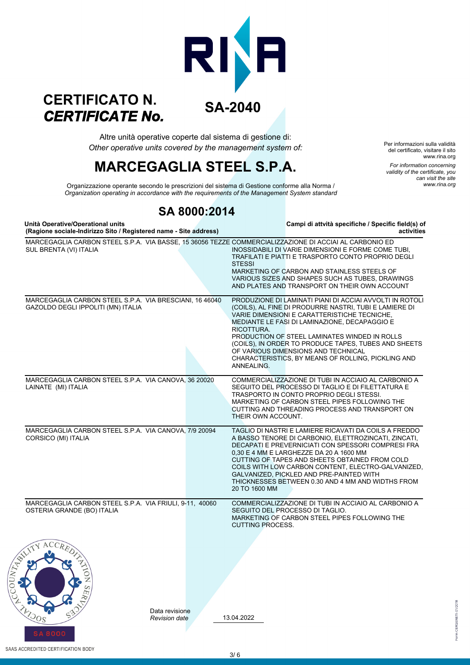### **SA-2040** *CERTIFICATE No.* **CERTIFICATO N.**

*Other operative units covered by the management system of:* Altre unità operative coperte dal sistema di gestione di:

# **MARCEGAGLIA STEEL S.P.A.**

Per informazioni sulla validità del certificato, visitare il sito www.rina.org *For information concerning validity of the certificate, you can visit the site www.rina.org*

orm CERGENETI-01/2018

*Organization operating in accordance with the requirements of the Management System standard* Organizzazione operante secondo le prescrizioni del sistema di Gestione conforme alla Norma /

### **SA 8000:2014**

**Unità Operative/Operational units Campi di attvità specifiche / Specific field(s) of Comments of the second state in the constraining of the address**) (Ragione sociale-Indirizzo Sito / Registered name - Site address)

| MARCEGAGLIA CARBON STEEL S.P.A. VIA BASSE, 15 36056 TEZZE COMMERCIALIZZAZIONE DI ACCIAI AL CARBONIO ED<br>SUL BRENTA (VI) ITALIA | INOSSIDABILI DI VARIE DIMENSIONI E FORME COME TUBI.<br>TRAFILATI E PIATTI E TRASPORTO CONTO PROPRIO DEGLI<br><b>STESSI</b><br>MARKETING OF CARBON AND STAINLESS STEELS OF<br>VARIOUS SIZES AND SHAPES SUCH AS TUBES, DRAWINGS<br>AND PLATES AND TRANSPORT ON THEIR OWN ACCOUNT                                                                                                                                                                        |
|----------------------------------------------------------------------------------------------------------------------------------|-------------------------------------------------------------------------------------------------------------------------------------------------------------------------------------------------------------------------------------------------------------------------------------------------------------------------------------------------------------------------------------------------------------------------------------------------------|
| MARCEGAGLIA CARBON STEEL S.P.A. VIA BRESCIANI, 16 46040<br>GAZOLDO DEGLI IPPOLITI (MN) ITALIA                                    | PRODUZIONE DI LAMINATI PIANI DI ACCIAI AVVOLTI IN ROTOLI<br>(COILS), AL FINE DI PRODURRE NASTRI, TUBI E LAMIERE DI<br>VARIE DIMENSIONI E CARATTERISTICHE TECNICHE,<br>MEDIANTE LE FASI DI LAMINAZIONE, DECAPAGGIO E<br>RICOTTURA.<br>PRODUCTION OF STEEL LAMINATES WINDED IN ROLLS<br>(COILS), IN ORDER TO PRODUCE TAPES, TUBES AND SHEETS<br>OF VARIOUS DIMENSIONS AND TECHNICAL<br>CHARACTERISTICS, BY MEANS OF ROLLING, PICKLING AND<br>ANNEALING. |
| MARCEGAGLIA CARBON STEEL S.P.A. VIA CANOVA, 36 20020<br>LAINATE (MI) ITALIA                                                      | COMMERCIALIZZAZIONE DI TUBI IN ACCIAIO AL CARBONIO A<br>SEGUITO DEL PROCESSO DI TAGLIO E DI FILETTATURA E<br>TRASPORTO IN CONTO PROPRIO DEGLI STESSI.<br>MARKETING OF CARBON STEEL PIPES FOLLOWING THE<br>CUTTING AND THREADING PROCESS AND TRANSPORT ON<br>THEIR OWN ACCOUNT.                                                                                                                                                                        |
| MARCEGAGLIA CARBON STEEL S.P.A. VIA CANOVA, 7/9 20094<br>CORSICO (MI) ITALIA                                                     | TAGLIO DI NASTRI E LAMIERE RICAVATI DA COILS A FREDDO<br>A BASSO TENORE DI CARBONIO, ELETTROZINCATI, ZINCATI,<br>DECAPATI E PREVERNICIATI CON SPESSORI COMPRESI FRA<br>0,30 E 4 MM E LARGHEZZE DA 20 A 1600 MM<br>CUTTING OF TAPES AND SHEETS OBTAINED FROM COLD<br>COILS WITH LOW CARBON CONTENT, ELECTRO-GALVANIZED,<br>GALVANIZED, PICKLED AND PRE-PAINTED WITH<br>THICKNESSES BETWEEN 0.30 AND 4 MM AND WIDTHS FROM<br>20 TO 1600 MM              |
| MARCEGAGLIA CARBON STEEL S.P.A. VIA FRIULI, 9-11, 40060<br>OSTERIA GRANDE (BO) ITALIA                                            | COMMERCIALIZZAZIONE DI TUBI IN ACCIAIO AL CARBONIO A<br>SEGUITO DEL PROCESSO DI TAGLIO.<br>MARKETING OF CARBON STEEL PIPES FOLLOWING THE<br>CUTTING PROCESS.                                                                                                                                                                                                                                                                                          |
|                                                                                                                                  |                                                                                                                                                                                                                                                                                                                                                                                                                                                       |
| Data revisione<br>$^{508}$<br><b>Revision date</b>                                                                               | 13.04.2022                                                                                                                                                                                                                                                                                                                                                                                                                                            |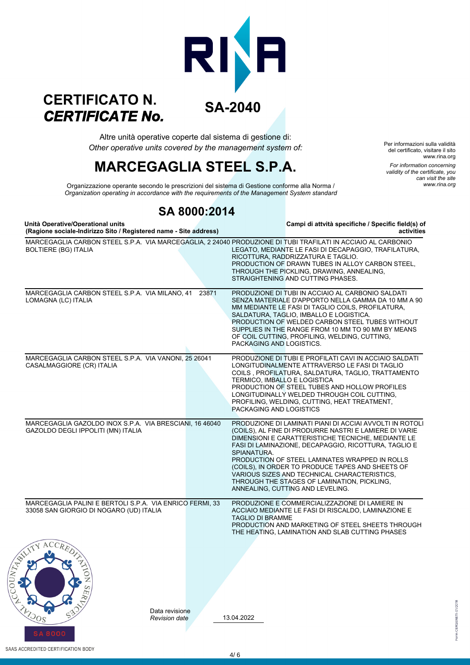### **SA-2040** *CERTIFICATE No.* **CERTIFICATO N.**

*Other operative units covered by the management system of:* Altre unità operative coperte dal sistema di gestione di:

# **MARCEGAGLIA STEEL S.P.A.**

Per informazioni sulla validità del certificato, visitare il sito www.rina.org *For information concerning validity of the certificate, you can visit the site www.rina.org*

1 CERGENETI-01/2018

*Organization operating in accordance with the requirements of the Management System standard* Organizzazione operante secondo le prescrizioni del sistema di Gestione conforme alla Norma /

### **SA 8000:2014**

**Unità Operative/Operational units Campi di attvità specifiche / Specific field(s) of Comments of the second of the state in the contract of the address**) (Ragione sociale-Indirizzo Sito / Registered name - Site address)

| $(1.49)$ and about the maintage one investored hannel one address,                                                                          |                                                                                                                                                                                                                                                                                                                                                                                                                                                                                          |
|---------------------------------------------------------------------------------------------------------------------------------------------|------------------------------------------------------------------------------------------------------------------------------------------------------------------------------------------------------------------------------------------------------------------------------------------------------------------------------------------------------------------------------------------------------------------------------------------------------------------------------------------|
| MARCEGAGLIA CARBON STEEL S.P.A. VIA MARCEGAGLIA, 2 24040 PRODUZIONE DI TUBI TRAFILATI IN ACCIAIO AL CARBONIO<br><b>BOLTIERE (BG) ITALIA</b> | LEGATO, MEDIANTE LE FASI DI DECAPAGGIO, TRAFILATURA,<br>RICOTTURA, RADDRIZZATURA E TAGLIO.<br>PRODUCTION OF DRAWN TUBES IN ALLOY CARBON STEEL,<br>THROUGH THE PICKLING, DRAWING, ANNEALING,<br>STRAIGHTENING AND CUTTING PHASES.                                                                                                                                                                                                                                                         |
| MARCEGAGLIA CARBON STEEL S.P.A. VIA MILANO, 41<br>23871<br>LOMAGNA (LC) ITALIA                                                              | PRODUZIONE DI TUBI IN ACCIAIO AL CARBONIO SALDATI<br>SENZA MATERIALE D'APPORTO NELLA GAMMA DA 10 MM A 90<br>MM MEDIANTE LE FASI DI TAGLIO COILS, PROFILATURA,<br>SALDATURA, TAGLIO, IMBALLO E LOGISTICA.<br>PRODUCTION OF WELDED CARBON STEEL TUBES WITHOUT<br>SUPPLIES IN THE RANGE FROM 10 MM TO 90 MM BY MEANS<br>OF COIL CUTTING, PROFILING, WELDING, CUTTING,<br>PACKAGING AND LOGISTICS.                                                                                           |
| MARCEGAGLIA CARBON STEEL S.P.A. VIA VANONI, 25 26041<br>CASALMAGGIORE (CR) ITALIA                                                           | PRODUZIONE DI TUBI E PROFILATI CAVI IN ACCIAIO SALDATI<br>LONGITUDINALMENTE ATTRAVERSO LE FASI DI TAGLIO<br>COILS, PROFILATURA, SALDATURA, TAGLIO, TRATTAMENTO<br>TERMICO, IMBALLO E LOGISTICA<br>PRODUCTION OF STEEL TUBES AND HOLLOW PROFILES<br>LONGITUDINALLY WELDED THROUGH COIL CUTTING,<br>PROFILING, WELDING, CUTTING, HEAT TREATMENT,<br>PACKAGING AND LOGISTICS                                                                                                                |
| MARCEGAGLIA GAZOLDO INOX S.P.A. VIA BRESCIANI, 16 46040<br>GAZOLDO DEGLI IPPOLITI (MN) ITALIA                                               | PRODUZIONE DI LAMINATI PIANI DI ACCIAI AVVOLTI IN ROTOLI<br>(COILS), AL FINE DI PRODURRE NASTRI E LAMIERE DI VARIE<br>DIMENSIONI E CARATTERISTICHE TECNICHE, MEDIANTE LE<br>FASI DI LAMINAZIONE, DECAPAGGIO, RICOTTURA, TAGLIO E<br>SPIANATURA.<br>PRODUCTION OF STEEL LAMINATES WRAPPED IN ROLLS<br>(COILS), IN ORDER TO PRODUCE TAPES AND SHEETS OF<br>VARIOUS SIZES AND TECHNICAL CHARACTERISTICS,<br>THROUGH THE STAGES OF LAMINATION, PICKLING,<br>ANNEALING, CUTTING AND LEVELING. |
| MARCEGAGLIA PALINI E BERTOLI S.P.A. VIA ENRICO FERMI, 33<br>33058 SAN GIORGIO DI NOGARO (UD) ITALIA                                         | PRODUZIONE E COMMERCIALIZZAZIONE DI LAMIERE IN<br>ACCIAIO MEDIANTE LE FASI DI RISCALDO, LAMINAZIONE E<br><b>TAGLIO DI BRAMME</b><br>PRODUCTION AND MARKETING OF STEEL SHEETS THROUGH<br>THE HEATING, LAMINATION AND SLAB CUTTING PHASES                                                                                                                                                                                                                                                  |
| Ż                                                                                                                                           |                                                                                                                                                                                                                                                                                                                                                                                                                                                                                          |
| Data revisione<br>50 <sup>g</sup><br><b>Revision date</b>                                                                                   | 13.04.2022                                                                                                                                                                                                                                                                                                                                                                                                                                                                               |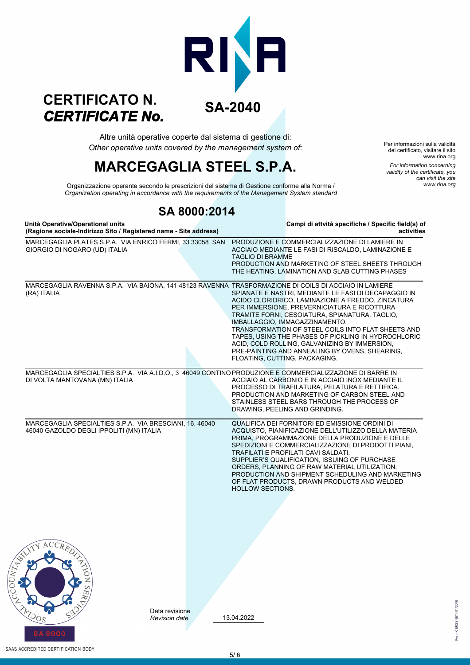### **SA-2040** *CERTIFICATE No.* **CERTIFICATO N.**

*Other operative units covered by the management system of:* Altre unità operative coperte dal sistema di gestione di:

# **MARCEGAGLIA STEEL S.P.A.**

Per informazioni sulla validità del certificato, visitare il sito www.rina.org *For information concerning validity of the certificate, you can visit the site www.rina.org*

CERGENETI-01/2018

*Organization operating in accordance with the requirements of the Management System standard* Organizzazione operante secondo le prescrizioni del sistema di Gestione conforme alla Norma /

### **SA 8000:2014**

| Unità Operative/Operational units<br>(Ragione sociale-Indirizzo Sito / Registered name - Site address)                                      |                                 |                         | Campi di attvità specifiche / Specific field(s) of<br>activities                                                                                                                                                                                                                                                                                                                                                                                                                              |
|---------------------------------------------------------------------------------------------------------------------------------------------|---------------------------------|-------------------------|-----------------------------------------------------------------------------------------------------------------------------------------------------------------------------------------------------------------------------------------------------------------------------------------------------------------------------------------------------------------------------------------------------------------------------------------------------------------------------------------------|
| MARCEGAGLIA PLATES S.P.A. VIA ENRICO FERMI, 33 33058 SAN<br>GIORGIO DI NOGARO (UD) ITALIA                                                   |                                 | <b>TAGLIO DI BRAMME</b> | PRODUZIONE E COMMERCIALIZZAZIONE DI LAMIERE IN<br>ACCIAIO MEDIANTE LE FASI DI RISCALDO, LAMINAZIONE E<br>PRODUCTION AND MARKETING OF STEEL SHEETS THROUGH<br>THE HEATING, LAMINATION AND SLAB CUTTING PHASES                                                                                                                                                                                                                                                                                  |
| MARCEGAGLIA RAVENNA S.P.A. VIA BAIONA, 141 48123 RAVENNA TRASFORMAZIONE DI COILS DI ACCIAIO IN LAMIERE<br>(RA) ITALIA                       |                                 |                         | SPIANATE E NASTRI, MEDIANTE LE FASI DI DECAPAGGIO IN<br>ACIDO CLORIDRICO, LAMINAZIONE A FREDDO, ZINCATURA<br>PER IMMERSIONE, PREVERNICIATURA E RICOTTURA<br>TRAMITE FORNI, CESOIATURA, SPIANATURA, TAGLIO,<br>IMBALLAGGIO, IMMAGAZZINAMENTO.<br>TRANSFORMATION OF STEEL COILS INTO FLAT SHEETS AND<br>TAPES, USING THE PHASES OF PICKLING IN HYDROCHLORIC<br>ACID, COLD ROLLING, GALVANIZING BY IMMERSION,<br>PRE-PAINTING AND ANNEALING BY OVENS, SHEARING,<br>FLOATING, CUTTING, PACKAGING. |
| MARCEGAGLIA SPECIALTIES S.P.A. VIA A.I.D.O., 3 46049 CONTINO PRODUZIONE E COMMERCIALIZZAZIONE DI BARRE IN<br>DI VOLTA MANTOVANA (MN) ITALIA |                                 |                         | ACCIAIO AL CARBONIO E IN ACCIAIO INOX MEDIANTE IL<br>PROCESSO DI TRAFILATURA, PELATURA E RETTIFICA.<br>PRODUCTION AND MARKETING OF CARBON STEEL AND<br>STAINLESS STEEL BARS THROUGH THE PROCESS OF<br>DRAWING, PEELING AND GRINDING.                                                                                                                                                                                                                                                          |
| MARCEGAGLIA SPECIALTIES S.P.A. VIA BRESCIANI, 16, 46040<br>46040 GAZOLDO DEGLI IPPOLITI (MN) ITALIA                                         |                                 | <b>HOLLOW SECTIONS.</b> | QUALIFICA DEI FORNITORI ED EMISSIONE ORDINI DI<br>ACQUISTO, PIANIFICAZIONE DELL'UTILIZZO DELLA MATERIA<br>PRIMA, PROGRAMMAZIONE DELLA PRODUZIONE E DELLE<br>SPEDIZIONI E COMMERCIALIZZAZIONE DI PRODOTTI PIANI,<br>TRAFILATI E PROFILATI CAVI SALDATI.<br>SUPPLIER'S QUALIFICATION, ISSUING OF PURCHASE<br>ORDERS, PLANNING OF RAW MATERIAL UTILIZATION,<br>PRODUCTION AND SHIPMENT SCHEDULING AND MARKETING<br>OF FLAT PRODUCTS, DRAWN PRODUCTS AND WELDED                                   |
| 2<br>Z<br>S                                                                                                                                 |                                 |                         |                                                                                                                                                                                                                                                                                                                                                                                                                                                                                               |
|                                                                                                                                             | Data revisione<br>Revision date | 13.04.2022              |                                                                                                                                                                                                                                                                                                                                                                                                                                                                                               |